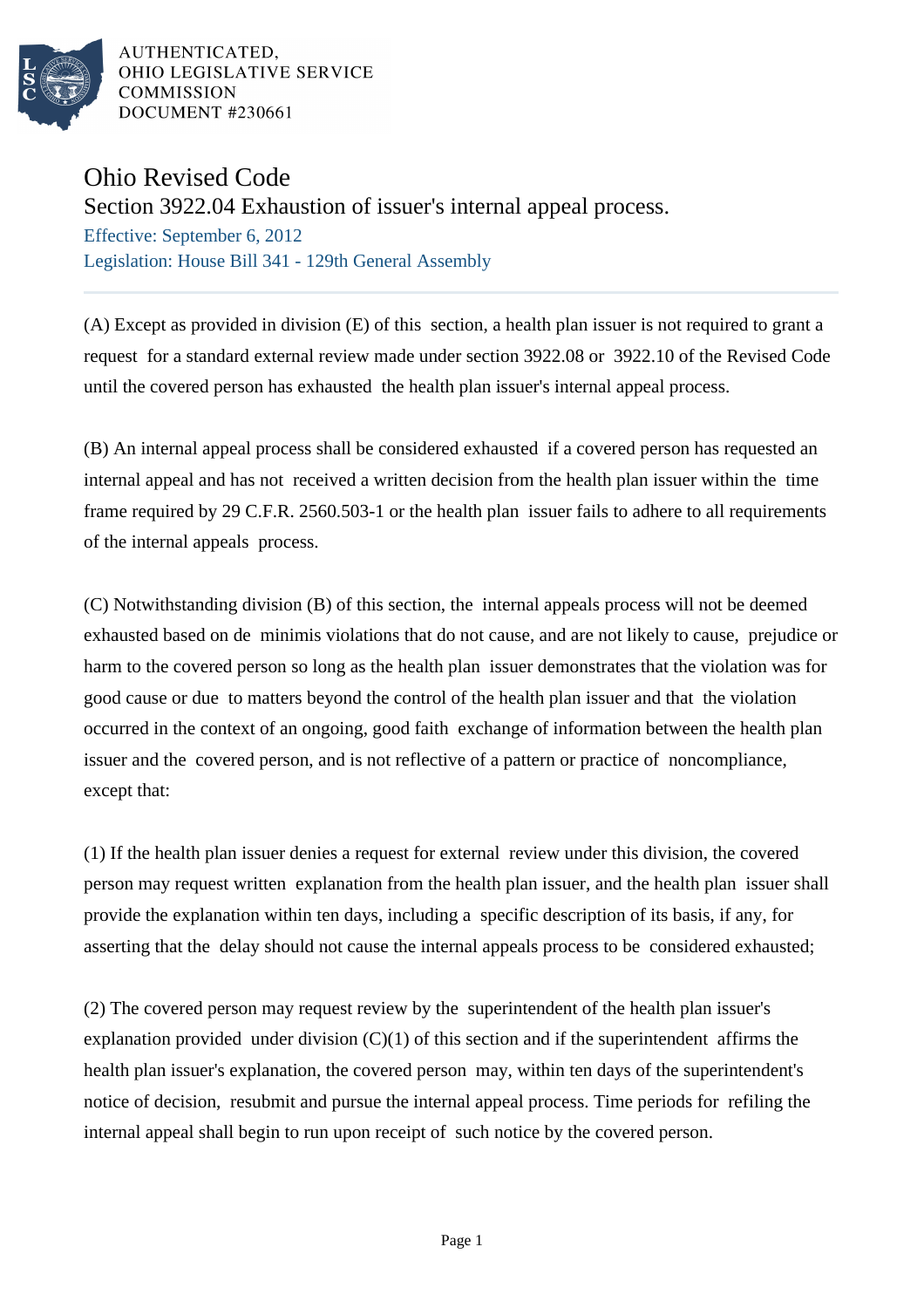

AUTHENTICATED. OHIO LEGISLATIVE SERVICE COMMISSION **DOCUMENT #230661** 

## Ohio Revised Code

Section 3922.04 Exhaustion of issuer's internal appeal process.

Effective: September 6, 2012 Legislation: House Bill 341 - 129th General Assembly

(A) Except as provided in division (E) of this section, a health plan issuer is not required to grant a request for a standard external review made under section 3922.08 or 3922.10 of the Revised Code until the covered person has exhausted the health plan issuer's internal appeal process.

(B) An internal appeal process shall be considered exhausted if a covered person has requested an internal appeal and has not received a written decision from the health plan issuer within the time frame required by 29 C.F.R. 2560.503-1 or the health plan issuer fails to adhere to all requirements of the internal appeals process.

(C) Notwithstanding division (B) of this section, the internal appeals process will not be deemed exhausted based on de minimis violations that do not cause, and are not likely to cause, prejudice or harm to the covered person so long as the health plan issuer demonstrates that the violation was for good cause or due to matters beyond the control of the health plan issuer and that the violation occurred in the context of an ongoing, good faith exchange of information between the health plan issuer and the covered person, and is not reflective of a pattern or practice of noncompliance, except that:

(1) If the health plan issuer denies a request for external review under this division, the covered person may request written explanation from the health plan issuer, and the health plan issuer shall provide the explanation within ten days, including a specific description of its basis, if any, for asserting that the delay should not cause the internal appeals process to be considered exhausted;

(2) The covered person may request review by the superintendent of the health plan issuer's explanation provided under division  $(C)(1)$  of this section and if the superintendent affirms the health plan issuer's explanation, the covered person may, within ten days of the superintendent's notice of decision, resubmit and pursue the internal appeal process. Time periods for refiling the internal appeal shall begin to run upon receipt of such notice by the covered person.